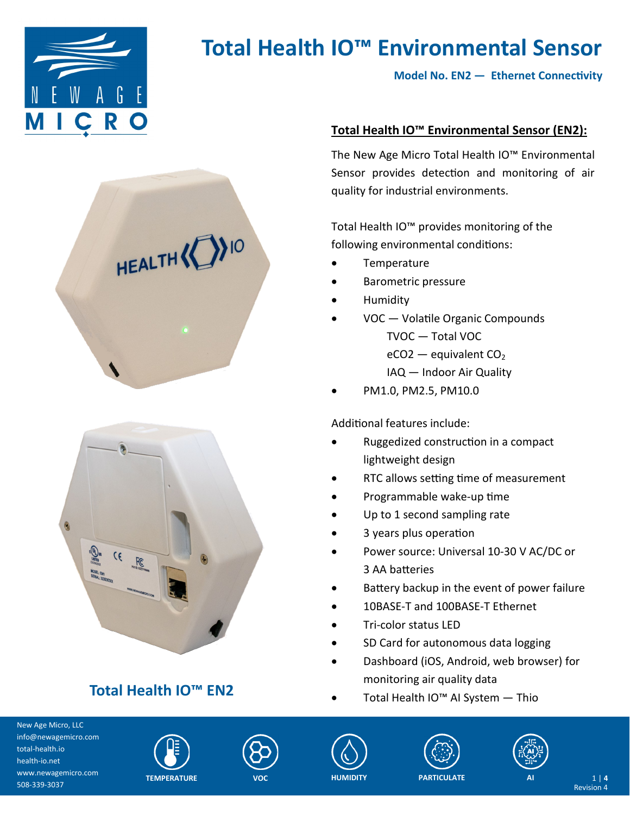

**Model No. EN2 — Ethernet Connectivity**





## **Total Health IO™ EN2**

### **Total Health IO™ Environmental Sensor (EN2):**

The New Age Micro Total Health IO™ Environmental Sensor provides detection and monitoring of air quality for industrial environments.

Total Health IO™ provides monitoring of the following environmental conditions:

- **Temperature**
- Barometric pressure
- Humidity
- VOC Volatile Organic Compounds TVOC — Total VOC  $eCO2$  — equivalent  $CO<sub>2</sub>$ IAQ — Indoor Air Quality
- PM1.0, PM2.5, PM10.0

### Additional features include:

- Ruggedized construction in a compact lightweight design
- RTC allows setting time of measurement
- Programmable wake-up time
- Up to 1 second sampling rate
- 3 years plus operation
- Power source: Universal 10-30 V AC/DC or 3 AA batteries
- Battery backup in the event of power failure
- 10BASE-T and 100BASE-T Ethernet
- Tri-color status LED
- SD Card for autonomous data logging
- Dashboard (iOS, Android, web browser) for monitoring air quality data
- Total Health IO™ AI System Thio











Revision 4 **AI** 1 | **4**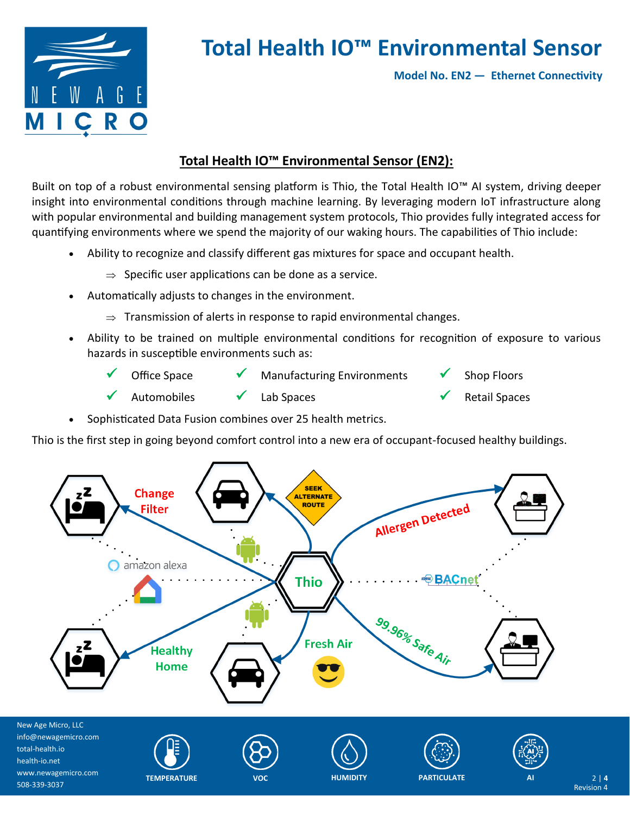

**Model No. EN2 — Ethernet Connectivity**

### **Total Health IO™ Environmental Sensor (EN2):**

Built on top of a robust environmental sensing platform is Thio, the Total Health IO™ AI system, driving deeper insight into environmental conditions through machine learning. By leveraging modern IoT infrastructure along with popular environmental and building management system protocols, Thio provides fully integrated access for quantifying environments where we spend the majority of our waking hours. The capabilities of Thio include:

- Ability to recognize and classify different gas mixtures for space and occupant health.
	- $\Rightarrow$  Specific user applications can be done as a service.
- Automatically adjusts to changes in the environment.
	- $\Rightarrow$  Transmission of alerts in response to rapid environmental changes.
- Ability to be trained on multiple environmental conditions for recognition of exposure to various hazards in susceptible environments such as:
	- Office Space  $\checkmark$  Manufacturing Environments  $\checkmark$  Shop Floors Automobiles  $\checkmark$  Lab Spaces  $\checkmark$  Retail Spaces
- Sophisticated Data Fusion combines over 25 health metrics.

Thio is the first step in going beyond comfort control into a new era of occupant-focused healthy buildings.

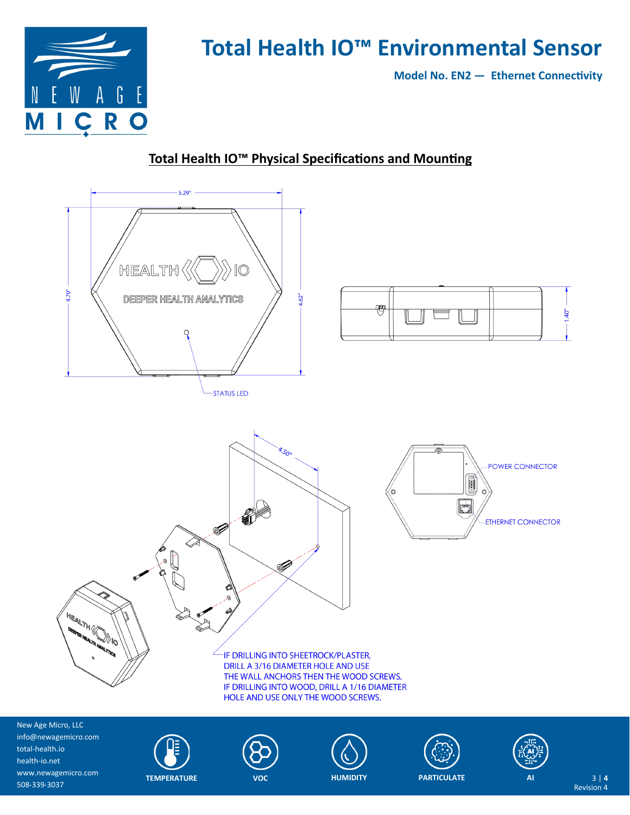

**Model No. EN2 — Ethernet Connectivity**

### **Total Health IO™ Physical Specifications and Mounting**



New Age Micro, LLC info@newagemicro.com total-health.io health-io.net www.newagemicro.com 508-339-3037









Revision 4 **AI** 3 | **4**